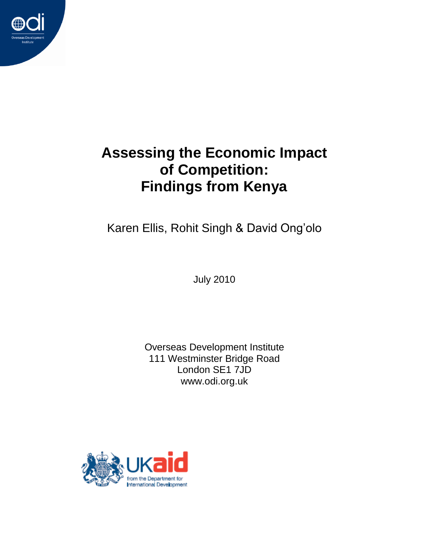

# **Assessing the Economic Impact of Competition: Findings from Kenya**

Karen Ellis, Rohit Singh & David Ong"olo

July 2010

Overseas Development Institute 111 Westminster Bridge Road London SE1 7JD www.odi.org.uk

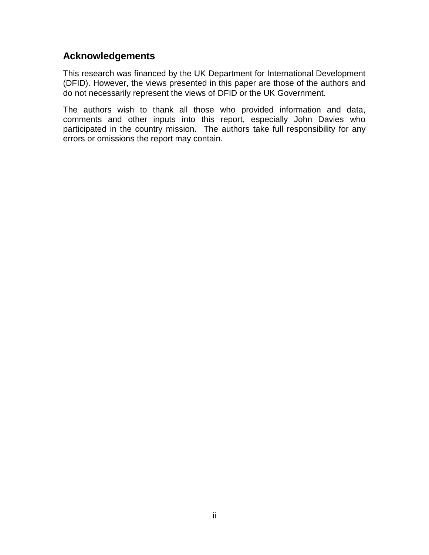#### **Acknowledgements**

This research was financed by the UK Department for International Development (DFID). However, the views presented in this paper are those of the authors and do not necessarily represent the views of DFID or the UK Government.

The authors wish to thank all those who provided information and data, comments and other inputs into this report, especially John Davies who participated in the country mission. The authors take full responsibility for any errors or omissions the report may contain.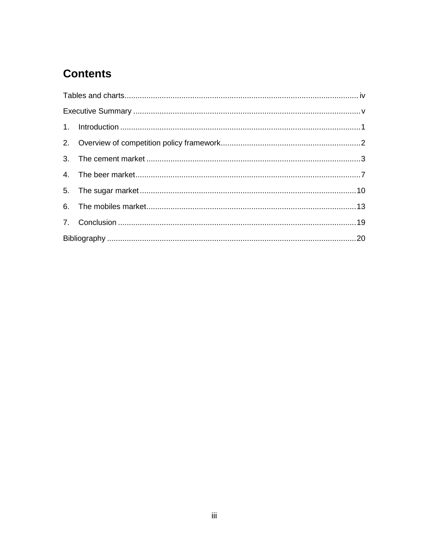# **Contents**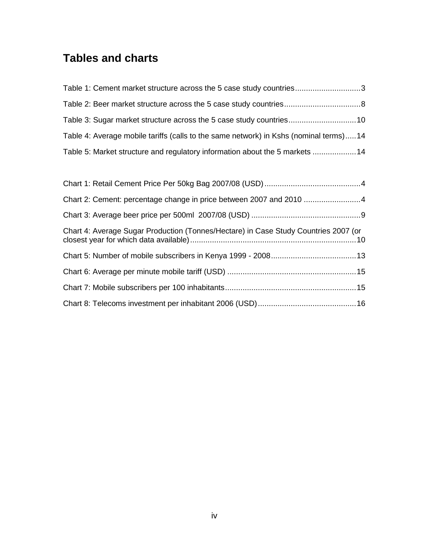# <span id="page-3-0"></span>**Tables and charts**

| Table 1: Cement market structure across the 5 case study countries3                   |  |
|---------------------------------------------------------------------------------------|--|
|                                                                                       |  |
|                                                                                       |  |
| Table 4: Average mobile tariffs (calls to the same network) in Kshs (nominal terms)14 |  |
| Table 5: Market structure and regulatory information about the 5 markets 14           |  |

| Chart 4: Average Sugar Production (Tonnes/Hectare) in Case Study Countries 2007 (or |  |
|-------------------------------------------------------------------------------------|--|
|                                                                                     |  |
|                                                                                     |  |
|                                                                                     |  |
|                                                                                     |  |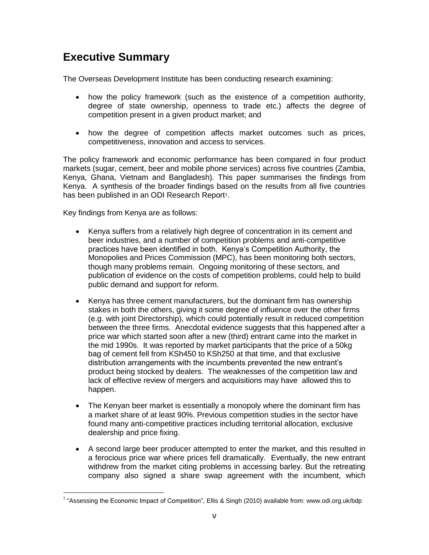### <span id="page-4-0"></span>**Executive Summary**

The Overseas Development Institute has been conducting research examining:

- how the policy framework (such as the existence of a competition authority, degree of state ownership, openness to trade etc.) affects the degree of competition present in a given product market; and
- how the degree of competition affects market outcomes such as prices, competitiveness, innovation and access to services.

The policy framework and economic performance has been compared in four product markets (sugar, cement, beer and mobile phone services) across five countries (Zambia, Kenya, Ghana, Vietnam and Bangladesh). This paper summarises the findings from Kenya. A synthesis of the broader findings based on the results from all five countries has been published in an ODI Research Report<sup>1</sup>.

Key findings from Kenya are as follows:

- Kenya suffers from a relatively high degree of concentration in its cement and beer industries, and a number of competition problems and anti-competitive practices have been identified in both. Kenya"s Competition Authority, the Monopolies and Prices Commission (MPC), has been monitoring both sectors, though many problems remain. Ongoing monitoring of these sectors, and publication of evidence on the costs of competition problems, could help to build public demand and support for reform.
- Kenya has three cement manufacturers, but the dominant firm has ownership stakes in both the others, giving it some degree of influence over the other firms (e.g. with joint Directorship), which could potentially result in reduced competition between the three firms. Anecdotal evidence suggests that this happened after a price war which started soon after a new (third) entrant came into the market in the mid 1990s. It was reported by market participants that the price of a 50kg bag of cement fell from KSh450 to KSh250 at that time, and that exclusive distribution arrangements with the incumbents prevented the new entrant"s product being stocked by dealers. The weaknesses of the competition law and lack of effective review of mergers and acquisitions may have allowed this to happen.
- The Kenyan beer market is essentially a monopoly where the dominant firm has a market share of at least 90%. Previous competition studies in the sector have found many anti-competitive practices including territorial allocation, exclusive dealership and price fixing.
- A second large beer producer attempted to enter the market, and this resulted in a ferocious price war where prices fell dramatically. Eventually, the new entrant withdrew from the market citing problems in accessing barley. But the retreating company also signed a share swap agreement with the incumbent, which

 1 "Assessing the Economic Impact of Competition", Ellis & Singh (2010) available from: [www.odi.org.uk/bdp](http://www.odi.org.uk/bdp)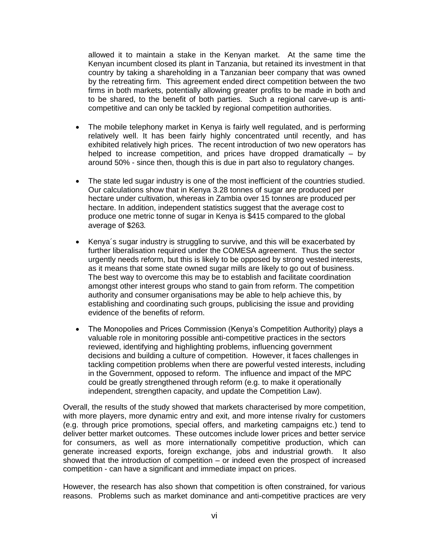allowed it to maintain a stake in the Kenyan market. At the same time the Kenyan incumbent closed its plant in Tanzania, but retained its investment in that country by taking a shareholding in a Tanzanian beer company that was owned by the retreating firm. This agreement ended direct competition between the two firms in both markets, potentially allowing greater profits to be made in both and to be shared, to the benefit of both parties. Such a regional carve-up is anticompetitive and can only be tackled by regional competition authorities.

- The mobile telephony market in Kenya is fairly well regulated, and is performing relatively well. It has been fairly highly concentrated until recently, and has exhibited relatively high prices. The recent introduction of two new operators has helped to increase competition, and prices have dropped dramatically – by around 50% - since then, though this is due in part also to regulatory changes.
- The state led sugar industry is one of the most inefficient of the countries studied. Our calculations show that in Kenya 3.28 tonnes of sugar are produced per hectare under cultivation, whereas in Zambia over 15 tonnes are produced per hectare. In addition, independent statistics suggest that the average cost to produce one metric tonne of sugar in Kenya is \$415 compared to the global average of \$263.
- Kenya´s sugar industry is struggling to survive, and this will be exacerbated by further liberalisation required under the COMESA agreement. Thus the sector urgently needs reform, but this is likely to be opposed by strong vested interests, as it means that some state owned sugar mills are likely to go out of business. The best way to overcome this may be to establish and facilitate coordination amongst other interest groups who stand to gain from reform. The competition authority and consumer organisations may be able to help achieve this, by establishing and coordinating such groups, publicising the issue and providing evidence of the benefits of reform.
- The Monopolies and Prices Commission (Kenya's Competition Authority) plays a valuable role in monitoring possible anti-competitive practices in the sectors reviewed, identifying and highlighting problems, influencing government decisions and building a culture of competition. However, it faces challenges in tackling competition problems when there are powerful vested interests, including in the Government, opposed to reform. The influence and impact of the MPC could be greatly strengthened through reform (e.g. to make it operationally independent, strengthen capacity, and update the Competition Law).

Overall, the results of the study showed that markets characterised by more competition, with more players, more dynamic entry and exit, and more intense rivalry for customers (e.g. through price promotions, special offers, and marketing campaigns etc.) tend to deliver better market outcomes. These outcomes include lower prices and better service for consumers, as well as more internationally competitive production, which can generate increased exports, foreign exchange, jobs and industrial growth. It also showed that the introduction of competition – or indeed even the prospect of increased competition - can have a significant and immediate impact on prices.

However, the research has also shown that competition is often constrained, for various reasons. Problems such as market dominance and anti-competitive practices are very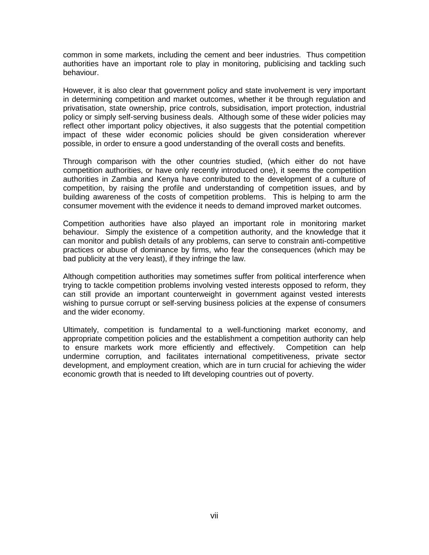common in some markets, including the cement and beer industries. Thus competition authorities have an important role to play in monitoring, publicising and tackling such behaviour.

However, it is also clear that government policy and state involvement is very important in determining competition and market outcomes, whether it be through regulation and privatisation, state ownership, price controls, subsidisation, import protection, industrial policy or simply self-serving business deals. Although some of these wider policies may reflect other important policy objectives, it also suggests that the potential competition impact of these wider economic policies should be given consideration wherever possible, in order to ensure a good understanding of the overall costs and benefits.

Through comparison with the other countries studied, (which either do not have competition authorities, or have only recently introduced one), it seems the competition authorities in Zambia and Kenya have contributed to the development of a culture of competition, by raising the profile and understanding of competition issues, and by building awareness of the costs of competition problems. This is helping to arm the consumer movement with the evidence it needs to demand improved market outcomes.

Competition authorities have also played an important role in monitoring market behaviour. Simply the existence of a competition authority, and the knowledge that it can monitor and publish details of any problems, can serve to constrain anti-competitive practices or abuse of dominance by firms, who fear the consequences (which may be bad publicity at the very least), if they infringe the law.

Although competition authorities may sometimes suffer from political interference when trying to tackle competition problems involving vested interests opposed to reform, they can still provide an important counterweight in government against vested interests wishing to pursue corrupt or self-serving business policies at the expense of consumers and the wider economy.

Ultimately, competition is fundamental to a well-functioning market economy, and appropriate competition policies and the establishment a competition authority can help to ensure markets work more efficiently and effectively. Competition can help undermine corruption, and facilitates international competitiveness, private sector development, and employment creation, which are in turn crucial for achieving the wider economic growth that is needed to lift developing countries out of poverty.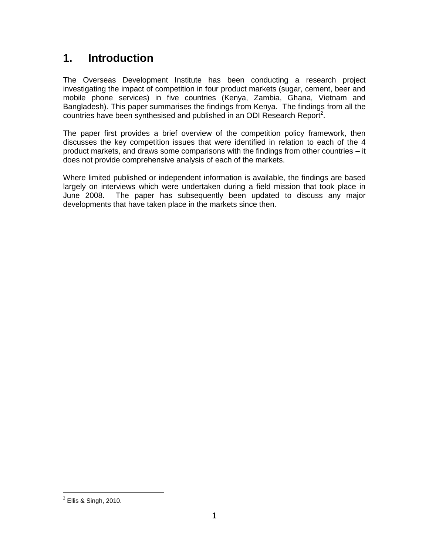### <span id="page-7-0"></span>**1. Introduction**

The Overseas Development Institute has been conducting a research project investigating the impact of competition in four product markets (sugar, cement, beer and mobile phone services) in five countries (Kenya, Zambia, Ghana, Vietnam and Bangladesh). This paper summarises the findings from Kenya. The findings from all the countries have been synthesised and published in an ODI Research Report<sup>2</sup>.

The paper first provides a brief overview of the competition policy framework, then discusses the key competition issues that were identified in relation to each of the 4 product markets, and draws some comparisons with the findings from other countries – it does not provide comprehensive analysis of each of the markets.

Where limited published or independent information is available, the findings are based largely on interviews which were undertaken during a field mission that took place in June 2008. The paper has subsequently been updated to discuss any major developments that have taken place in the markets since then.

<sup>&</sup>lt;u>2</u><br><sup>2</sup> Ellis & Singh, 2010.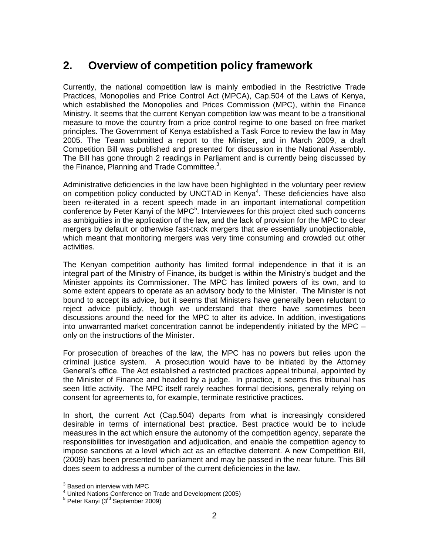## <span id="page-8-0"></span>**2. Overview of competition policy framework**

Currently, the national competition law is mainly embodied in the Restrictive Trade Practices, Monopolies and Price Control Act (MPCA), Cap.504 of the Laws of Kenya, which established the Monopolies and Prices Commission (MPC), within the Finance Ministry. It seems that the current Kenyan competition law was meant to be a transitional measure to move the country from a price control regime to one based on free market principles. The Government of Kenya established a Task Force to review the law in May 2005. The Team submitted a report to the Minister, and in March 2009, a draft Competition Bill was published and presented for discussion in the National Assembly. The Bill has gone through 2 readings in Parliament and is currently being discussed by the Finance, Planning and Trade Committee.<sup>3</sup>.

Administrative deficiencies in the law have been highlighted in the voluntary peer review on competition policy conducted by UNCTAD in Kenya<sup>4</sup>. These deficiencies have also been re-iterated in a recent speech made in an important international competition conference by Peter Kanyi of the MPC<sup>5</sup>. Interviewees for this project cited such concerns as ambiguities in the application of the law, and the lack of provision for the MPC to clear mergers by default or otherwise fast-track mergers that are essentially unobjectionable, which meant that monitoring mergers was very time consuming and crowded out other activities.

The Kenyan competition authority has limited formal independence in that it is an integral part of the Ministry of Finance, its budget is within the Ministry"s budget and the Minister appoints its Commissioner. The MPC has limited powers of its own, and to some extent appears to operate as an advisory body to the Minister. The Minister is not bound to accept its advice, but it seems that Ministers have generally been reluctant to reject advice publicly, though we understand that there have sometimes been discussions around the need for the MPC to alter its advice. In addition, investigations into unwarranted market concentration cannot be independently initiated by the MPC – only on the instructions of the Minister.

For prosecution of breaches of the law, the MPC has no powers but relies upon the criminal justice system. A prosecution would have to be initiated by the Attorney General"s office. The Act established a restricted practices appeal tribunal, appointed by the Minister of Finance and headed by a judge. In practice, it seems this tribunal has seen little activity. The MPC itself rarely reaches formal decisions, generally relying on consent for agreements to, for example, terminate restrictive practices.

In short, the current Act (Cap.504) departs from what is increasingly considered desirable in terms of international best practice. Best practice would be to include measures in the act which ensure the autonomy of the competition agency, separate the responsibilities for investigation and adjudication, and enable the competition agency to impose sanctions at a level which act as an effective deterrent. A new Competition Bill, (2009) has been presented to parliament and may be passed in the near future. This Bill does seem to address a number of the current deficiencies in the law.

 $\frac{3}{3}$  Based on interview with MPC

<sup>4</sup> United Nations Conference on Trade and Development (2005)

<sup>&</sup>lt;sup>5</sup> Peter Kanyi (3<sup>rd</sup> September 2009)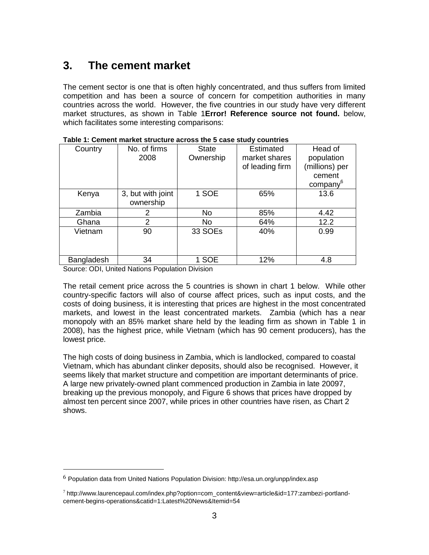### <span id="page-9-0"></span>**3. The cement market**

The cement sector is one that is often highly concentrated, and thus suffers from limited competition and has been a source of concern for competition authorities in many countries across the world. However, the five countries in our study have very different market structures, as shown in Table 1**Error! Reference source not found.** below, which facilitates some interesting comparisons:

| No. of firms<br>Country |                   | <b>State</b> | <b>Estimated</b> | Head of              |  |  |  |  |
|-------------------------|-------------------|--------------|------------------|----------------------|--|--|--|--|
|                         | 2008              | Ownership    | market shares    | population           |  |  |  |  |
|                         |                   |              | of leading firm  | (millions) per       |  |  |  |  |
|                         |                   |              |                  | cement               |  |  |  |  |
|                         |                   |              |                  | company <sup>6</sup> |  |  |  |  |
| Kenya                   | 3, but with joint | 1 SOE        | 65%              | 13.6                 |  |  |  |  |
|                         | ownership         |              |                  |                      |  |  |  |  |
| Zambia                  | 2                 | <b>No</b>    | 85%              | 4.42                 |  |  |  |  |
| Ghana                   | 2                 | No           | 64%              | 12.2                 |  |  |  |  |
| Vietnam                 | 90                | 33 SOEs      | 40%              | 0.99                 |  |  |  |  |
|                         |                   |              |                  |                      |  |  |  |  |
|                         |                   |              |                  |                      |  |  |  |  |
| Bangladesh              | 34                | 1 SOE        | 12%              | 4.8                  |  |  |  |  |

<span id="page-9-1"></span>

| Table 1: Cement market structure across the 5 case study countries |  |
|--------------------------------------------------------------------|--|
|--------------------------------------------------------------------|--|

Source: ODI, United Nations Population Division

 $\overline{a}$ 

The retail cement price across the 5 countries is shown in chart 1 below. While other country-specific factors will also of course affect prices, such as input costs, and the costs of doing business, it is interesting that prices are highest in the most concentrated markets, and lowest in the least concentrated markets. Zambia (which has a near monopoly with an 85% market share held by the leading firm as shown in Table 1 in 2008), has the highest price, while Vietnam (which has 90 cement producers), has the lowest price.

The high costs of doing business in Zambia, which is landlocked, compared to coastal Vietnam, which has abundant clinker deposits, should also be recognised. However, it seems likely that market structure and competition are important determinants of price. A large new privately-owned plant commenced production in Zambia in late 20097, breaking up the previous monopoly, and Figure 6 shows that prices have dropped by almost ten percent since 2007, while prices in other countries have risen, as Chart 2 shows.

 $6$  Population data from United Nations Population Division: http://esa.un.org/unpp/index.asp

<sup>7</sup> http://www.laurencepaul.com/index.php?option=com\_content&view=article&id=177:zambezi-portlandcement-begins-operations&catid=1:Latest%20News&Itemid=54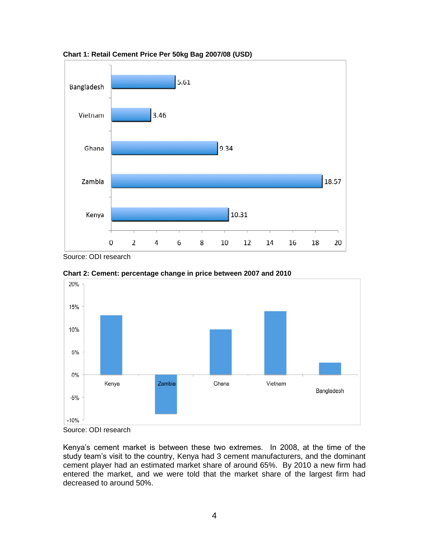

<span id="page-10-0"></span>**Chart 1: Retail Cement Price Per 50kg Bag 2007/08 (USD)**

Source: ODI research



<span id="page-10-1"></span>**Chart 2: Cement: percentage change in price between 2007 and 2010**

Source: ODI research

Kenya"s cement market is between these two extremes. In 2008, at the time of the study team's visit to the country, Kenya had 3 cement manufacturers, and the dominant cement player had an estimated market share of around 65%. By 2010 a new firm had entered the market, and we were told that the market share of the largest firm had decreased to around 50%.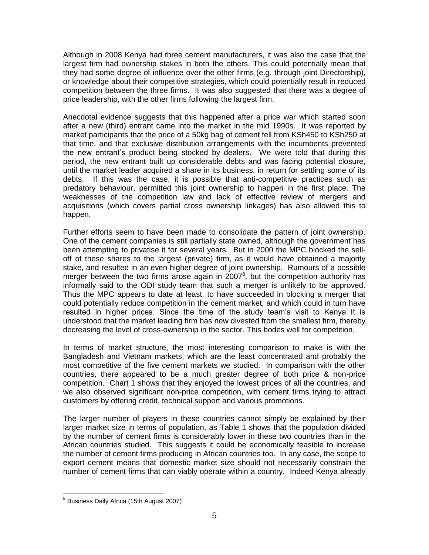Although in 2008 Kenya had three cement manufacturers, it was also the case that the largest firm had ownership stakes in both the others. This could potentially mean that they had some degree of influence over the other firms (e.g. through joint Directorship), or knowledge about their competitive strategies, which could potentially result in reduced competition between the three firms. It was also suggested that there was a degree of price leadership, with the other firms following the largest firm.

Anecdotal evidence suggests that this happened after a price war which started soon after a new (third) entrant came into the market in the mid 1990s. It was reported by market participants that the price of a 50kg bag of cement fell from KSh450 to KSh250 at that time, and that exclusive distribution arrangements with the incumbents prevented the new entrant"s product being stocked by dealers. We were told that during this period, the new entrant built up considerable debts and was facing potential closure, until the market leader acquired a share in its business, in return for settling some of its debts. If this was the case, it is possible that anti-competitive practices such as predatory behaviour, permitted this joint ownership to happen in the first place. The weaknesses of the competition law and lack of effective review of mergers and acquisitions (which covers partial cross ownership linkages) has also allowed this to happen.

Further efforts seem to have been made to consolidate the pattern of joint ownership. One of the cement companies is still partially state owned, although the government has been attempting to privatise it for several years. But in 2000 the MPC blocked the selloff of these shares to the largest (private) firm, as it would have obtained a majority stake, and resulted in an even higher degree of joint ownership. Rumours of a possible merger between the two firms arose again in  $2007<sup>8</sup>$ , but the competition authority has informally said to the ODI study team that such a merger is unlikely to be approved. Thus the MPC appears to date at least, to have succeeded in blocking a merger that could potentially reduce competition in the cement market, and which could in turn have resulted in higher prices. Since the time of the study team"s visit to Kenya It is understood that the market leading firm has now divested from the smallest firm, thereby decreasing the level of cross-ownership in the sector. This bodes well for competition.

In terms of market structure, the most interesting comparison to make is with the Bangladesh and Vietnam markets, which are the least concentrated and probably the most competitive of the five cement markets we studied. In comparison with the other countries, there appeared to be a much greater degree of both price & non-price competition. Chart 1 shows that they enjoyed the lowest prices of all the countries, and we also observed significant non-price competition, with cement firms trying to attract customers by offering credit, technical support and various promotions.

The larger number of players in these countries cannot simply be explained by their larger market size in terms of population, as Table 1 shows that the population divided by the number of cement firms is considerably lower in these two countries than in the African countries studied. This suggests it could be economically feasible to increase the number of cement firms producing in African countries too. In any case, the scope to export cement means that domestic market size should not necessarily constrain the number of cement firms that can viably operate within a country. Indeed Kenya already

and an Extra Correct Conset<br>Business Daily Africa (15th August 2007)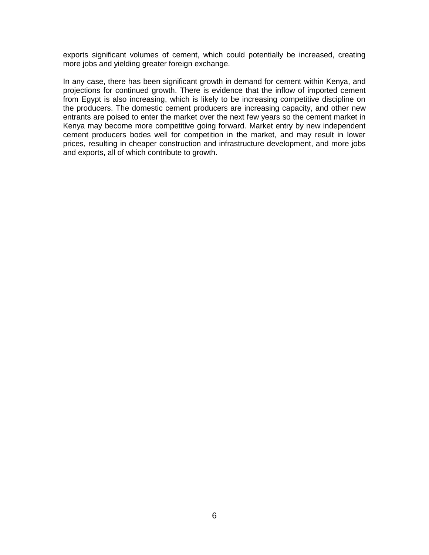exports significant volumes of cement, which could potentially be increased, creating more jobs and yielding greater foreign exchange.

In any case, there has been significant growth in demand for cement within Kenya, and projections for continued growth. There is evidence that the inflow of imported cement from Egypt is also increasing, which is likely to be increasing competitive discipline on the producers. The domestic cement producers are increasing capacity, and other new entrants are poised to enter the market over the next few years so the cement market in Kenya may become more competitive going forward. Market entry by new independent cement producers bodes well for competition in the market, and may result in lower prices, resulting in cheaper construction and infrastructure development, and more jobs and exports, all of which contribute to growth.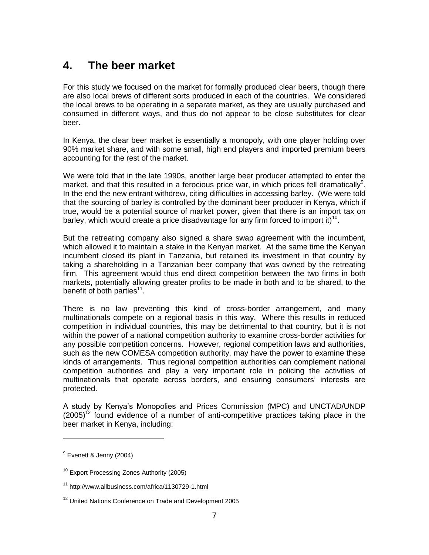#### <span id="page-13-0"></span>**4. The beer market**

For this study we focused on the market for formally produced clear beers, though there are also local brews of different sorts produced in each of the countries. We considered the local brews to be operating in a separate market, as they are usually purchased and consumed in different ways, and thus do not appear to be close substitutes for clear beer.

In Kenya, the clear beer market is essentially a monopoly, with one player holding over 90% market share, and with some small, high end players and imported premium beers accounting for the rest of the market.

We were told that in the late 1990s, another large beer producer attempted to enter the market, and that this resulted in a ferocious price war, in which prices fell dramatically<sup>9</sup>. In the end the new entrant withdrew, citing difficulties in accessing barley. (We were told that the sourcing of barley is controlled by the dominant beer producer in Kenya, which if true, would be a potential source of market power, given that there is an import tax on barley, which would create a price disadvantage for any firm forced to import it)<sup>10</sup>.

But the retreating company also signed a share swap agreement with the incumbent, which allowed it to maintain a stake in the Kenyan market. At the same time the Kenyan incumbent closed its plant in Tanzania, but retained its investment in that country by taking a shareholding in a Tanzanian beer company that was owned by the retreating firm. This agreement would thus end direct competition between the two firms in both markets, potentially allowing greater profits to be made in both and to be shared, to the benefit of both parties<sup>11</sup>.

There is no law preventing this kind of cross-border arrangement, and many multinationals compete on a regional basis in this way. Where this results in reduced competition in individual countries, this may be detrimental to that country, but it is not within the power of a national competition authority to examine cross-border activities for any possible competition concerns. However, regional competition laws and authorities, such as the new COMESA competition authority, may have the power to examine these kinds of arrangements. Thus regional competition authorities can complement national competition authorities and play a very important role in policing the activities of multinationals that operate across borders, and ensuring consumers" interests are protected.

A study by Kenya"s Monopolies and Prices Commission (MPC) and UNCTAD/UNDP  $(2005)^{12}$  found evidence of a number of anti-competitive practices taking place in the beer market in Kenya, including:

 $\overline{a}$ 

<sup>&</sup>lt;sup>9</sup> Evenett & Jenny (2004)

<sup>&</sup>lt;sup>10</sup> Export Processing Zones Authority (2005)

<sup>11</sup> http://www.allbusiness.com/africa/1130729-1.html

<sup>&</sup>lt;sup>12</sup> United Nations Conference on Trade and Development 2005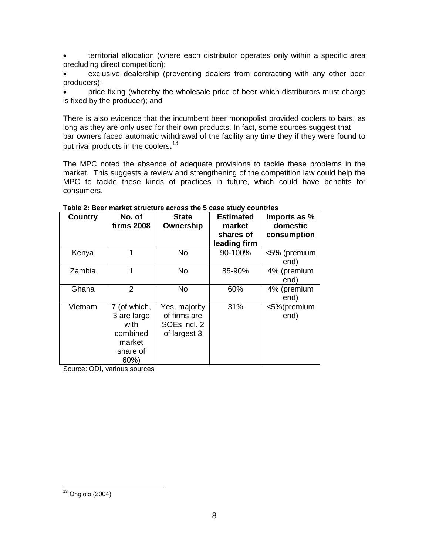territorial allocation (where each distributor operates only within a specific area precluding direct competition);

 exclusive dealership (preventing dealers from contracting with any other beer producers);

 price fixing (whereby the wholesale price of beer which distributors must charge is fixed by the producer); and

There is also evidence that the incumbent beer monopolist provided coolers to bars, as long as they are only used for their own products. In fact, some sources suggest that bar owners faced automatic withdrawal of the facility any time they if they were found to put rival products in the coolers. $^{13}$ 

The MPC noted the absence of adequate provisions to tackle these problems in the market. This suggests a review and strengthening of the competition law could help the MPC to tackle these kinds of practices in future, which could have benefits for consumers.

| <b>Country</b> | No. of<br><b>firms 2008</b>                                                  | <b>State</b><br>Ownership                                     | <b>Estimated</b><br>market<br>shares of<br>leading firm | Imports as %<br>domestic<br>consumption |
|----------------|------------------------------------------------------------------------------|---------------------------------------------------------------|---------------------------------------------------------|-----------------------------------------|
| Kenya          |                                                                              | No.                                                           | 90-100%                                                 | <5% (premium<br>end)                    |
| Zambia         | 1                                                                            | No                                                            | 85-90%                                                  | 4% (premium<br>end)                     |
| Ghana          | 2                                                                            | <b>No</b>                                                     | 60%                                                     | 4% (premium<br>end)                     |
| Vietnam        | 7 (of which,<br>3 are large<br>with<br>combined<br>market<br>share of<br>60% | Yes, majority<br>of firms are<br>SOEs incl. 2<br>of largest 3 | 31%                                                     | <5%(premium<br>end)                     |

<span id="page-14-0"></span>**Table 2: Beer market structure across the 5 case study countries**

Source: ODI, various sources

 $\overline{a}$  $13$  Ong'olo (2004)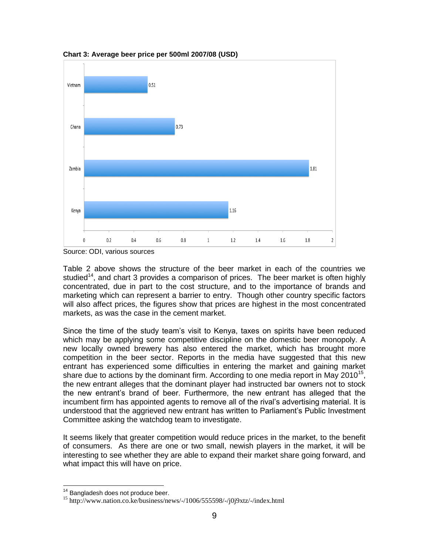

<span id="page-15-0"></span>**Chart 3: Average beer price per 500ml 2007/08 (USD)**

Table 2 above shows the structure of the beer market in each of the countries we studied<sup>14</sup>, and chart 3 provides a comparison of prices. The beer market is often highly concentrated, due in part to the cost structure, and to the importance of brands and marketing which can represent a barrier to entry. Though other country specific factors will also affect prices, the figures show that prices are highest in the most concentrated markets, as was the case in the cement market.

Since the time of the study team"s visit to Kenya, taxes on spirits have been reduced which may be applying some competitive discipline on the domestic beer monopoly. A new locally owned brewery has also entered the market, which has brought more competition in the beer sector. Reports in the media have suggested that this new entrant has experienced some difficulties in entering the market and gaining market share due to actions by the dominant firm. According to one media report in May 2010<sup>15</sup>, the new entrant alleges that the dominant player had instructed bar owners not to stock the new entrant"s brand of beer. Furthermore, the new entrant has alleged that the incumbent firm has appointed agents to remove all of the rival"s advertising material. It is understood that the aggrieved new entrant has written to Parliament"s Public Investment Committee asking the watchdog team to investigate.

It seems likely that greater competition would reduce prices in the market, to the benefit of consumers. As there are one or two small, newish players in the market, it will be interesting to see whether they are able to expand their market share going forward, and what impact this will have on price.

 $\overline{\phantom{a}}$ 

Source: ODI, various sources

<sup>&</sup>lt;sup>14</sup> Bangladesh does not produce beer.

<sup>&</sup>lt;sup>15</sup> http://www.nation.co.ke/business/news/-/1006/555598/-/j0j9xtz/-/index.html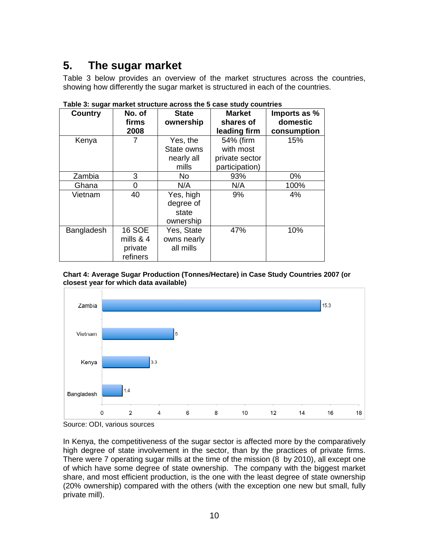# <span id="page-16-0"></span>**5. The sugar market**

Table 3 below provides an overview of the market structures across the countries, showing how differently the sugar market is structured in each of the countries.

| <b>Country</b> | No. of<br>firms<br>2008                             | <b>State</b><br>ownership                     | <b>Market</b><br>shares of<br>leading firm                 | Imports as %<br>domestic<br>consumption |  |
|----------------|-----------------------------------------------------|-----------------------------------------------|------------------------------------------------------------|-----------------------------------------|--|
| Kenya          |                                                     | Yes, the<br>State owns<br>nearly all<br>mills | 54% (firm<br>with most<br>private sector<br>participation) | 15%                                     |  |
| Zambia         | 3                                                   | No                                            | 93%                                                        | 0%                                      |  |
| Ghana          | 0                                                   | N/A                                           | N/A                                                        | 100%                                    |  |
| Vietnam        | 40                                                  | Yes, high<br>degree of<br>state<br>ownership  | 9%                                                         | 4%                                      |  |
| Bangladesh     | <b>16 SOE</b><br>mills $& 4$<br>private<br>refiners | Yes, State<br>owns nearly<br>all mills        | 47%                                                        | 10%                                     |  |

<span id="page-16-1"></span>**Table 3: sugar market structure across the 5 case study countries**

<span id="page-16-2"></span>



Source: ODI, various sources

In Kenya, the competitiveness of the sugar sector is affected more by the comparatively high degree of state involvement in the sector, than by the practices of private firms. There were 7 operating sugar mills at the time of the mission (8 by 2010), all except one of which have some degree of state ownership. The company with the biggest market share, and most efficient production, is the one with the least degree of state ownership (20% ownership) compared with the others (with the exception one new but small, fully private mill).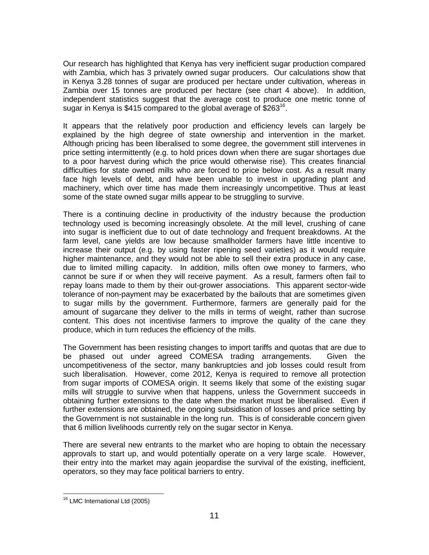Our research has highlighted that Kenya has very inefficient sugar production compared with Zambia, which has 3 privately owned sugar producers. Our calculations show that in Kenya 3.28 tonnes of sugar are produced per hectare under cultivation, whereas in Zambia over 15 tonnes are produced per hectare (see chart 4 above). In addition, independent statistics suggest that the average cost to produce one metric tonne of sugar in Kenya is \$415 compared to the global average of \$263<sup>16</sup>.

It appears that the relatively poor production and efficiency levels can largely be explained by the high degree of state ownership and intervention in the market. Although pricing has been liberalised to some degree, the government still intervenes in price setting intermittently (e.g. to hold prices down when there are sugar shortages due to a poor harvest during which the price would otherwise rise). This creates financial difficulties for state owned mills who are forced to price below cost. As a result many face high levels of debt, and have been unable to invest in upgrading plant and machinery, which over time has made them increasingly uncompetitive. Thus at least some of the state owned sugar mills appear to be struggling to survive.

There is a continuing decline in productivity of the industry because the production technology used is becoming increasingly obsolete. At the mill level, crushing of cane into sugar is inefficient due to out of date technology and frequent breakdowns. At the farm level, cane yields are low because smallholder farmers have little incentive to increase their output (e.g. by using faster ripening seed varieties) as it would require higher maintenance, and they would not be able to sell their extra produce in any case, due to limited milling capacity. In addition, mills often owe money to farmers, who cannot be sure if or when they will receive payment. As a result, farmers often fail to repay loans made to them by their out-grower associations. This apparent sector-wide tolerance of non-payment may be exacerbated by the bailouts that are sometimes given to sugar mills by the government. Furthermore, farmers are generally paid for the amount of sugarcane they deliver to the mills in terms of weight, rather than sucrose content. This does not incentivise farmers to improve the quality of the cane they produce, which in turn reduces the efficiency of the mills.

The Government has been resisting changes to import tariffs and quotas that are due to be phased out under agreed COMESA trading arrangements. Given the uncompetitiveness of the sector, many bankruptcies and job losses could result from such liberalisation. However, come 2012, Kenya is required to remove all protection from sugar imports of COMESA origin. It seems likely that some of the existing sugar mills will struggle to survive when that happens, unless the Government succeeds in obtaining further extensions to the date when the market must be liberalised. Even if further extensions are obtained, the ongoing subsidisation of losses and price setting by the Government is not sustainable in the long run. This is of considerable concern given that 6 million livelihoods currently rely on the sugar sector in Kenya.

There are several new entrants to the market who are hoping to obtain the necessary approvals to start up, and would potentially operate on a very large scale. However, their entry into the market may again jeopardise the survival of the existing, inefficient, operators, so they may face political barriers to entry.

 $\overline{a}$ <sup>16</sup> LMC International Ltd (2005)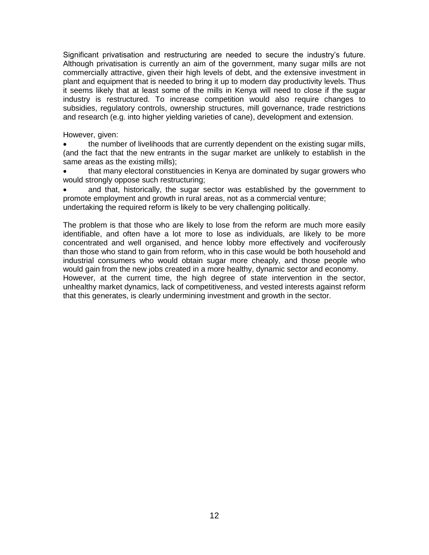Significant privatisation and restructuring are needed to secure the industry"s future. Although privatisation is currently an aim of the government, many sugar mills are not commercially attractive, given their high levels of debt, and the extensive investment in plant and equipment that is needed to bring it up to modern day productivity levels. Thus it seems likely that at least some of the mills in Kenya will need to close if the sugar industry is restructured. To increase competition would also require changes to subsidies, regulatory controls, ownership structures, mill governance, trade restrictions and research (e.g. into higher yielding varieties of cane), development and extension.

However, given:

 the number of livelihoods that are currently dependent on the existing sugar mills, (and the fact that the new entrants in the sugar market are unlikely to establish in the same areas as the existing mills);

 that many electoral constituencies in Kenya are dominated by sugar growers who would strongly oppose such restructuring;

 and that, historically, the sugar sector was established by the government to promote employment and growth in rural areas, not as a commercial venture; undertaking the required reform is likely to be very challenging politically.

The problem is that those who are likely to lose from the reform are much more easily identifiable, and often have a lot more to lose as individuals, are likely to be more concentrated and well organised, and hence lobby more effectively and vociferously than those who stand to gain from reform, who in this case would be both household and industrial consumers who would obtain sugar more cheaply, and those people who would gain from the new jobs created in a more healthy, dynamic sector and economy. However, at the current time, the high degree of state intervention in the sector, unhealthy market dynamics, lack of competitiveness, and vested interests against reform that this generates, is clearly undermining investment and growth in the sector.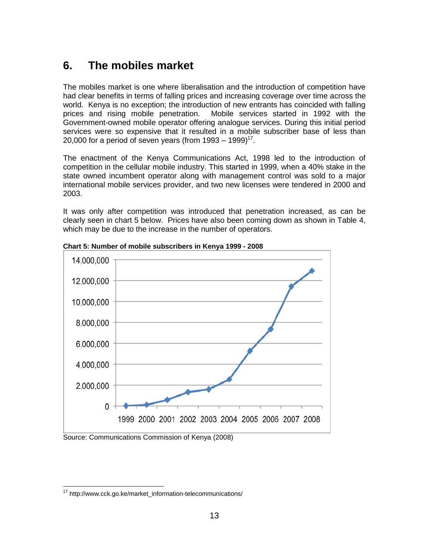### <span id="page-19-0"></span>**6. The mobiles market**

The mobiles market is one where liberalisation and the introduction of competition have had clear benefits in terms of falling prices and increasing coverage over time across the world. Kenya is no exception; the introduction of new entrants has coincided with falling prices and rising mobile penetration. Mobile services started in 1992 with the Government-owned mobile operator offering analogue services. During this initial period services were so expensive that it resulted in a mobile subscriber base of less than 20,000 for a period of seven years (from 1993 – 1999)<sup>17</sup>.

The enactment of the Kenya Communications Act, 1998 led to the introduction of competition in the cellular mobile industry. This started in 1999, when a 40% stake in the state owned incumbent operator along with management control was sold to a major international mobile services provider, and two new licenses were tendered in 2000 and 2003.

It was only after competition was introduced that penetration increased, as can be clearly seen in chart 5 below. Prices have also been coming down as shown in Table 4, which may be due to the increase in the number of operators.



<span id="page-19-1"></span>**Chart 5: Number of mobile subscribers in Kenya 1999 - 2008**

Source: Communications Commission of Kenya (2008)

 $\overline{a}$ <sup>17</sup> http://www.cck.go.ke/market\_information-telecommunications/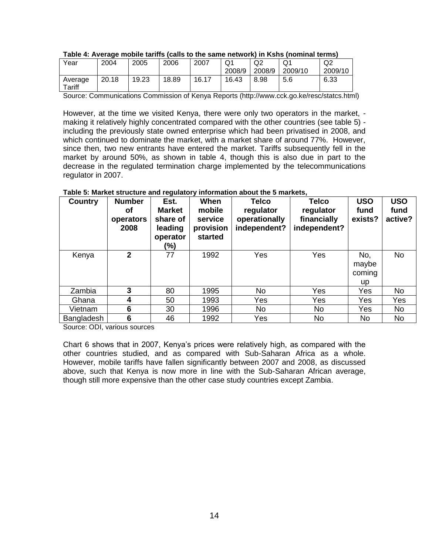|                   | $\sim$ |       |       |       |              |              |         |                           |
|-------------------|--------|-------|-------|-------|--------------|--------------|---------|---------------------------|
| Year              | 2004   | 2005  | 2006  | 2007  | Q1<br>2008/9 | Q2<br>2008/9 | 2009/10 | Q <sub>2</sub><br>2009/10 |
| Average<br>Tariff | 20.18  | 19.23 | 18.89 | 16.17 | 16.43        | 8.98         | 5.6     | 6.33                      |

#### <span id="page-20-0"></span>**Table 4: Average mobile tariffs (calls to the same network) in Kshs (nominal terms)**

Source: Communications Commission of Kenya Reports (http://www.cck.go.ke/resc/statcs.html)

However, at the time we visited Kenya, there were only two operators in the market, making it relatively highly concentrated compared with the other countries (see table 5) including the previously state owned enterprise which had been privatised in 2008, and which continued to dominate the market, with a market share of around 77%. However, since then, two new entrants have entered the market. Tariffs subsequently fell in the market by around 50%, as shown in table 4, though this is also due in part to the decrease in the regulated termination charge implemented by the telecommunications regulator in 2007.

| <b>Country</b> | <b>Number</b><br>Οf<br>operators<br>2008 | Est.<br><b>Market</b><br>share of<br>leading<br>operator<br>(%) | When<br>mobile<br>service<br>provision<br>started | <b>Telco</b><br>regulator<br>operationally<br>independent? | <b>Telco</b><br>regulator<br>financially<br>independent? | <b>USO</b><br>fund<br>exists? | <b>USO</b><br>fund<br>active? |
|----------------|------------------------------------------|-----------------------------------------------------------------|---------------------------------------------------|------------------------------------------------------------|----------------------------------------------------------|-------------------------------|-------------------------------|
| Kenya          | $\mathbf{2}$                             | 77                                                              | 1992                                              | Yes                                                        | Yes                                                      | No,<br>maybe<br>coming<br>up  | <b>No</b>                     |
| Zambia         | 3                                        | 80                                                              | 1995                                              | No                                                         | Yes                                                      | Yes                           | <b>No</b>                     |
| Ghana          | 4                                        | 50                                                              | 1993                                              | Yes                                                        | Yes                                                      | Yes                           | Yes                           |
| Vietnam        | 6                                        | 30                                                              | 1996                                              | No.                                                        | No.                                                      | Yes                           | <b>No</b>                     |
| Bangladesh     | $6\phantom{1}6$                          | 46                                                              | 1992                                              | Yes                                                        | No.                                                      | <b>No</b>                     | <b>No</b>                     |

#### <span id="page-20-1"></span>**Table 5: Market structure and regulatory information about the 5 markets,**

Source: ODI, various sources

Chart 6 shows that in 2007, Kenya"s prices were relatively high, as compared with the other countries studied, and as compared with Sub-Saharan Africa as a whole. However, mobile tariffs have fallen significantly between 2007 and 2008, as discussed above, such that Kenya is now more in line with the Sub-Saharan African average, though still more expensive than the other case study countries except Zambia.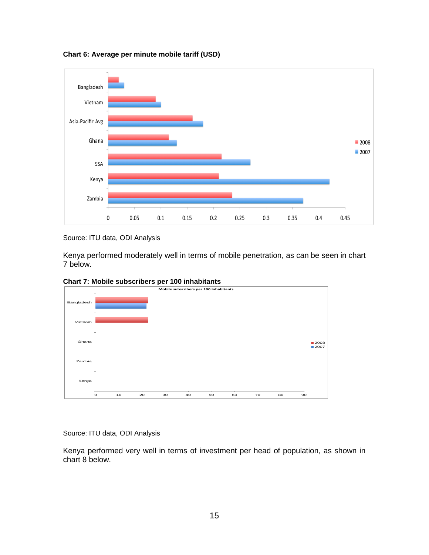<span id="page-21-0"></span>**Chart 6: Average per minute mobile tariff (USD)**



Source: ITU data, ODI Analysis

Kenya performed moderately well in terms of mobile penetration, as can be seen in chart 7 below.

<span id="page-21-1"></span>



Source: ITU data, ODI Analysis

Kenya performed very well in terms of investment per head of population, as shown in chart 8 below.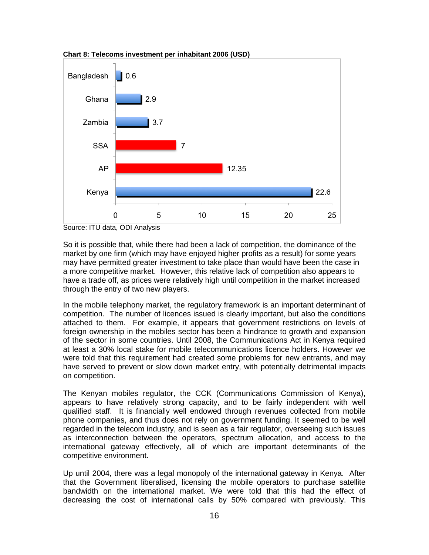

<span id="page-22-0"></span>**Chart 8: Telecoms investment per inhabitant 2006 (USD)** 

Source: ITU data, ODI Analysis

So it is possible that, while there had been a lack of competition, the dominance of the market by one firm (which may have enjoyed higher profits as a result) for some years may have permitted greater investment to take place than would have been the case in a more competitive market. However, this relative lack of competition also appears to have a trade off, as prices were relatively high until competition in the market increased through the entry of two new players.

In the mobile telephony market, the regulatory framework is an important determinant of competition. The number of licences issued is clearly important, but also the conditions attached to them. For example, it appears that government restrictions on levels of foreign ownership in the mobiles sector has been a hindrance to growth and expansion of the sector in some countries. Until 2008, the Communications Act in Kenya required at least a 30% local stake for mobile telecommunications licence holders. However we were told that this requirement had created some problems for new entrants, and may have served to prevent or slow down market entry, with potentially detrimental impacts on competition.

The Kenyan mobiles regulator, the CCK (Communications Commission of Kenya), appears to have relatively strong capacity, and to be fairly independent with well qualified staff. It is financially well endowed through revenues collected from mobile phone companies, and thus does not rely on government funding. It seemed to be well regarded in the telecom industry, and is seen as a fair regulator, overseeing such issues as interconnection between the operators, spectrum allocation, and access to the international gateway effectively, all of which are important determinants of the competitive environment.

Up until 2004, there was a legal monopoly of the international gateway in Kenya. After that the Government liberalised, licensing the mobile operators to purchase satellite bandwidth on the international market. We were told that this had the effect of decreasing the cost of international calls by 50% compared with previously. This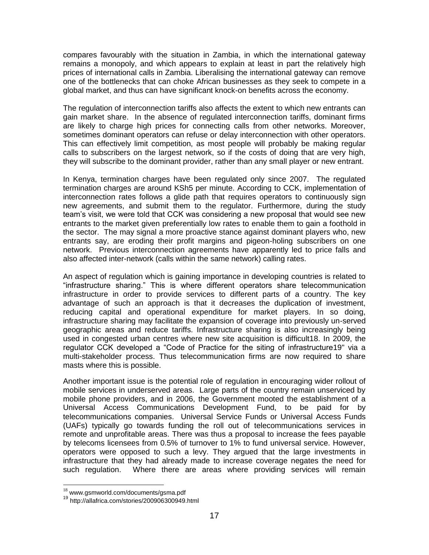compares favourably with the situation in Zambia, in which the international gateway remains a monopoly, and which appears to explain at least in part the relatively high prices of international calls in Zambia. Liberalising the international gateway can remove one of the bottlenecks that can choke African businesses as they seek to compete in a global market, and thus can have significant knock-on benefits across the economy.

The regulation of interconnection tariffs also affects the extent to which new entrants can gain market share. In the absence of regulated interconnection tariffs, dominant firms are likely to charge high prices for connecting calls from other networks. Moreover, sometimes dominant operators can refuse or delay interconnection with other operators. This can effectively limit competition, as most people will probably be making regular calls to subscribers on the largest network, so if the costs of doing that are very high, they will subscribe to the dominant provider, rather than any small player or new entrant.

In Kenya, termination charges have been regulated only since 2007. The regulated termination charges are around KSh5 per minute. According to CCK, implementation of interconnection rates follows a glide path that requires operators to continuously sign new agreements, and submit them to the regulator. Furthermore, during the study team"s visit, we were told that CCK was considering a new proposal that would see new entrants to the market given preferentially low rates to enable them to gain a foothold in the sector. The may signal a more proactive stance against dominant players who, new entrants say, are eroding their profit margins and pigeon-holing subscribers on one network. Previous interconnection agreements have apparently led to price falls and also affected inter-network (calls within the same network) calling rates.

An aspect of regulation which is gaining importance in developing countries is related to "infrastructure sharing." This is where different operators share telecommunication infrastructure in order to provide services to different parts of a country. The key advantage of such an approach is that it decreases the duplication of investment, reducing capital and operational expenditure for market players. In so doing, infrastructure sharing may facilitate the expansion of coverage into previously un-served geographic areas and reduce tariffs. Infrastructure sharing is also increasingly being used in congested urban centres where new site acquisition is difficult18. In 2009, the regulator CCK developed a "Code of Practice for the siting of infrastructure19" via a multi-stakeholder process. Thus telecommunication firms are now required to share masts where this is possible.

Another important issue is the potential role of regulation in encouraging wider rollout of mobile services in underserved areas. Large parts of the country remain unserviced by mobile phone providers, and in 2006, the Government mooted the establishment of a Universal Access Communications Development Fund, to be paid for by telecommunications companies. Universal Service Funds or Universal Access Funds (UAFs) typically go towards funding the roll out of telecommunications services in remote and unprofitable areas. There was thus a proposal to increase the fees payable by telecoms licensees from 0.5% of turnover to 1% to fund universal service. However, operators were opposed to such a levy. They argued that the large investments in infrastructure that they had already made to increase coverage negates the need for such regulation. Where there are areas where providing services will remain

 $\overline{a}$ 

 $18$  www.gsmworld.com/documents/gsma.pdf

<sup>19</sup> http://allafrica.com/stories/200906300949.html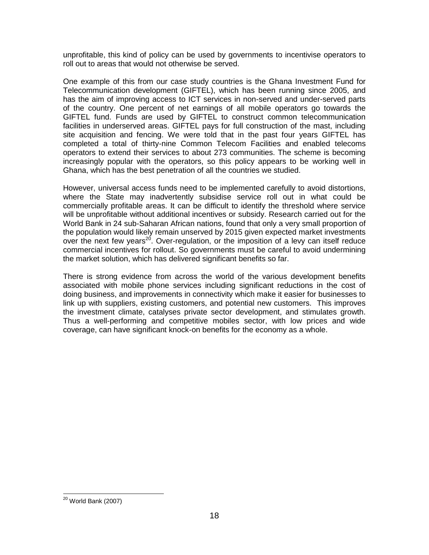unprofitable, this kind of policy can be used by governments to incentivise operators to roll out to areas that would not otherwise be served.

One example of this from our case study countries is the Ghana Investment Fund for Telecommunication development (GIFTEL), which has been running since 2005, and has the aim of improving access to ICT services in non-served and under-served parts of the country. One percent of net earnings of all mobile operators go towards the GIFTEL fund. Funds are used by GIFTEL to construct common telecommunication facilities in underserved areas. GIFTEL pays for full construction of the mast, including site acquisition and fencing. We were told that in the past four years GIFTEL has completed a total of thirty-nine Common Telecom Facilities and enabled telecoms operators to extend their services to about 273 communities. The scheme is becoming increasingly popular with the operators, so this policy appears to be working well in Ghana, which has the best penetration of all the countries we studied.

However, universal access funds need to be implemented carefully to avoid distortions, where the State may inadvertently subsidise service roll out in what could be commercially profitable areas. It can be difficult to identify the threshold where service will be unprofitable without additional incentives or subsidy. Research carried out for the World Bank in 24 sub-Saharan African nations, found that only a very small proportion of the population would likely remain unserved by 2015 given expected market investments over the next few years<sup>20</sup>. Over-regulation, or the imposition of a levy can itself reduce commercial incentives for rollout. So governments must be careful to avoid undermining the market solution, which has delivered significant benefits so far.

There is strong evidence from across the world of the various development benefits associated with mobile phone services including significant reductions in the cost of doing business, and improvements in connectivity which make it easier for businesses to link up with suppliers, existing customers, and potential new customers. This improves the investment climate, catalyses private sector development, and stimulates growth. Thus a well-performing and competitive mobiles sector, with low prices and wide coverage, can have significant knock-on benefits for the economy as a whole.

 $\overline{\phantom{a}}$ <sup>20</sup> World Bank (2007)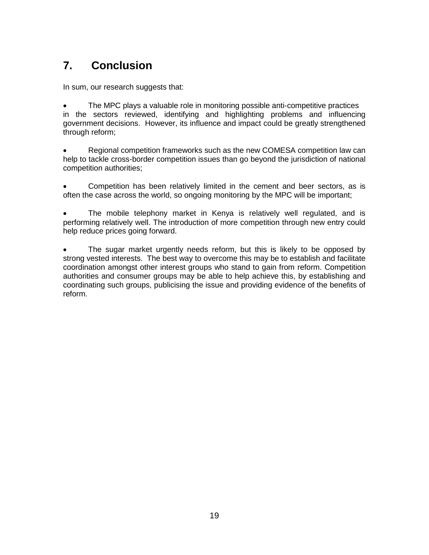# <span id="page-25-0"></span>**7. Conclusion**

In sum, our research suggests that:

 The MPC plays a valuable role in monitoring possible anti-competitive practices in the sectors reviewed, identifying and highlighting problems and influencing government decisions. However, its influence and impact could be greatly strengthened through reform;

 Regional competition frameworks such as the new COMESA competition law can help to tackle cross-border competition issues than go beyond the jurisdiction of national competition authorities;

 Competition has been relatively limited in the cement and beer sectors, as is often the case across the world, so ongoing monitoring by the MPC will be important;

• The mobile telephony market in Kenya is relatively well regulated, and is performing relatively well. The introduction of more competition through new entry could help reduce prices going forward.

 The sugar market urgently needs reform, but this is likely to be opposed by strong vested interests. The best way to overcome this may be to establish and facilitate coordination amongst other interest groups who stand to gain from reform. Competition authorities and consumer groups may be able to help achieve this, by establishing and coordinating such groups, publicising the issue and providing evidence of the benefits of reform.